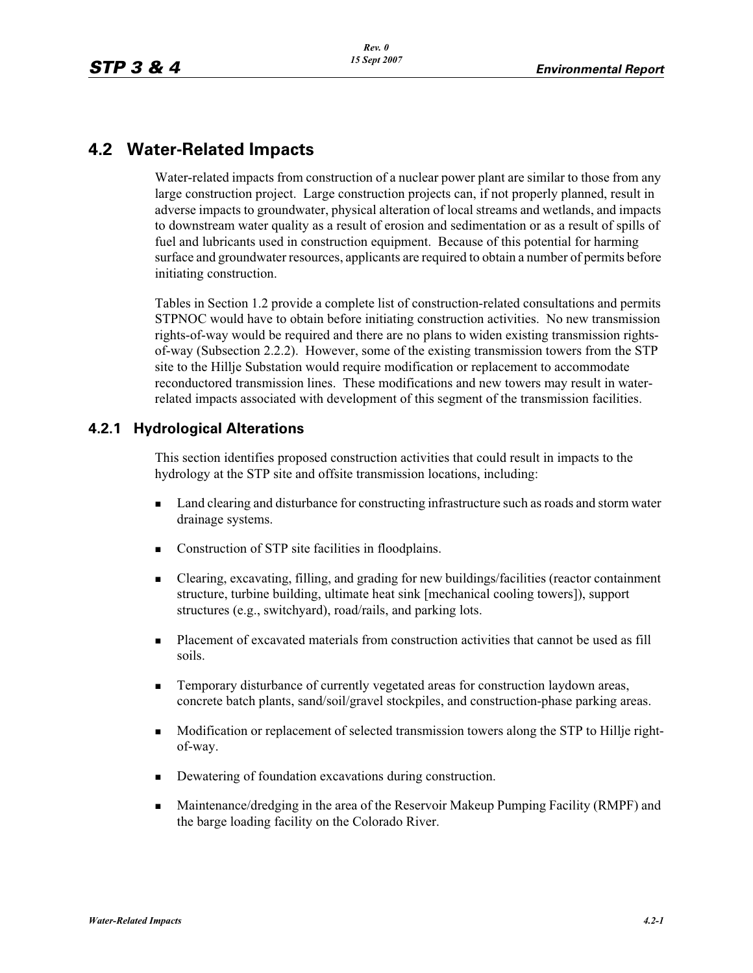# **4.2 Water-Related Impacts**

Water-related impacts from construction of a nuclear power plant are similar to those from any large construction project. Large construction projects can, if not properly planned, result in adverse impacts to groundwater, physical alteration of local streams and wetlands, and impacts to downstream water quality as a result of erosion and sedimentation or as a result of spills of fuel and lubricants used in construction equipment. Because of this potential for harming surface and groundwater resources, applicants are required to obtain a number of permits before initiating construction.

Tables in Section 1.2 provide a complete list of construction-related consultations and permits STPNOC would have to obtain before initiating construction activities. No new transmission rights-of-way would be required and there are no plans to widen existing transmission rightsof-way (Subsection 2.2.2). However, some of the existing transmission towers from the STP site to the Hillje Substation would require modification or replacement to accommodate reconductored transmission lines. These modifications and new towers may result in waterrelated impacts associated with development of this segment of the transmission facilities.

# **4.2.1 Hydrological Alterations**

This section identifies proposed construction activities that could result in impacts to the hydrology at the STP site and offsite transmission locations, including:

- - Land clearing and disturbance for constructing infrastructure such as roads and storm water drainage systems.
- -Construction of STP site facilities in floodplains.
- - Clearing, excavating, filling, and grading for new buildings/facilities (reactor containment structure, turbine building, ultimate heat sink [mechanical cooling towers]), support structures (e.g., switchyard), road/rails, and parking lots.
- - Placement of excavated materials from construction activities that cannot be used as fill soils.
- - Temporary disturbance of currently vegetated areas for construction laydown areas, concrete batch plants, sand/soil/gravel stockpiles, and construction-phase parking areas.
- - Modification or replacement of selected transmission towers along the STP to Hillje rightof-way.
- -Dewatering of foundation excavations during construction.
- - Maintenance/dredging in the area of the Reservoir Makeup Pumping Facility (RMPF) and the barge loading facility on the Colorado River.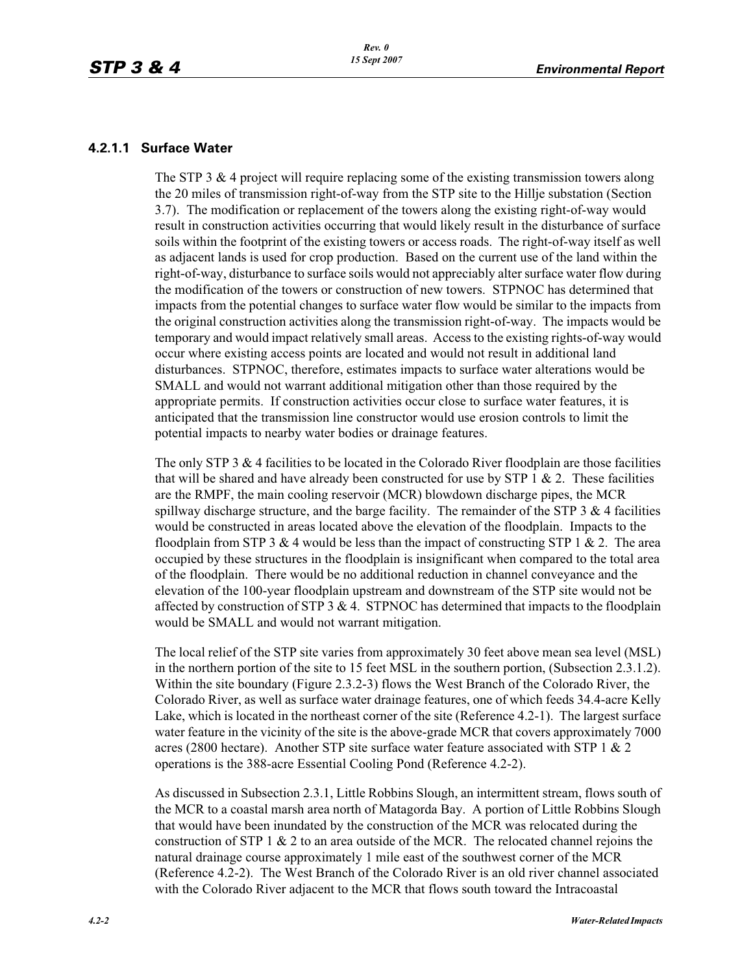#### **4.2.1.1 Surface Water**

The STP 3  $\&$  4 project will require replacing some of the existing transmission towers along the 20 miles of transmission right-of-way from the STP site to the Hillje substation (Section 3.7). The modification or replacement of the towers along the existing right-of-way would result in construction activities occurring that would likely result in the disturbance of surface soils within the footprint of the existing towers or access roads. The right-of-way itself as well as adjacent lands is used for crop production. Based on the current use of the land within the right-of-way, disturbance to surface soils would not appreciably alter surface water flow during the modification of the towers or construction of new towers. STPNOC has determined that impacts from the potential changes to surface water flow would be similar to the impacts from the original construction activities along the transmission right-of-way. The impacts would be temporary and would impact relatively small areas. Access to the existing rights-of-way would occur where existing access points are located and would not result in additional land disturbances. STPNOC, therefore, estimates impacts to surface water alterations would be SMALL and would not warrant additional mitigation other than those required by the appropriate permits. If construction activities occur close to surface water features, it is anticipated that the transmission line constructor would use erosion controls to limit the potential impacts to nearby water bodies or drainage features.

The only STP 3  $\&$  4 facilities to be located in the Colorado River floodplain are those facilities that will be shared and have already been constructed for use by STP 1  $\&$  2. These facilities are the RMPF, the main cooling reservoir (MCR) blowdown discharge pipes, the MCR spillway discharge structure, and the barge facility. The remainder of the STP  $3 \& 4$  facilities would be constructed in areas located above the elevation of the floodplain. Impacts to the floodplain from STP 3  $&$  4 would be less than the impact of constructing STP 1  $&$  2. The area occupied by these structures in the floodplain is insignificant when compared to the total area of the floodplain. There would be no additional reduction in channel conveyance and the elevation of the 100-year floodplain upstream and downstream of the STP site would not be affected by construction of STP  $3 \& 4$ . STPNOC has determined that impacts to the floodplain would be SMALL and would not warrant mitigation.

The local relief of the STP site varies from approximately 30 feet above mean sea level (MSL) in the northern portion of the site to 15 feet MSL in the southern portion, (Subsection 2.3.1.2). Within the site boundary (Figure 2.3.2-3) flows the West Branch of the Colorado River, the Colorado River, as well as surface water drainage features, one of which feeds 34.4-acre Kelly Lake, which is located in the northeast corner of the site (Reference 4.2-1). The largest surface water feature in the vicinity of the site is the above-grade MCR that covers approximately 7000 acres (2800 hectare). Another STP site surface water feature associated with STP 1  $\&$  2 operations is the 388-acre Essential Cooling Pond (Reference 4.2-2).

As discussed in Subsection 2.3.1, Little Robbins Slough, an intermittent stream, flows south of the MCR to a coastal marsh area north of Matagorda Bay. A portion of Little Robbins Slough that would have been inundated by the construction of the MCR was relocated during the construction of STP 1  $\&$  2 to an area outside of the MCR. The relocated channel rejoins the natural drainage course approximately 1 mile east of the southwest corner of the MCR (Reference 4.2-2). The West Branch of the Colorado River is an old river channel associated with the Colorado River adjacent to the MCR that flows south toward the Intracoastal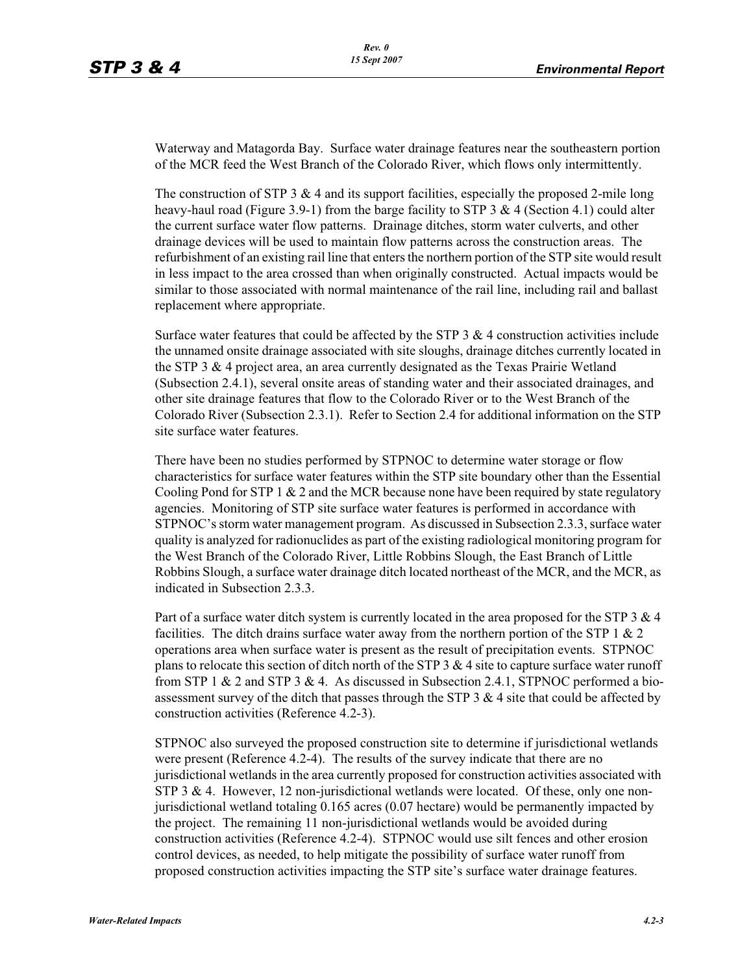Waterway and Matagorda Bay. Surface water drainage features near the southeastern portion of the MCR feed the West Branch of the Colorado River, which flows only intermittently.

The construction of STP 3  $\&$  4 and its support facilities, especially the proposed 2-mile long heavy-haul road (Figure 3.9-1) from the barge facility to STP 3  $\&$  4 (Section 4.1) could alter the current surface water flow patterns. Drainage ditches, storm water culverts, and other drainage devices will be used to maintain flow patterns across the construction areas. The refurbishment of an existing rail line that enters the northern portion of the STP site would result in less impact to the area crossed than when originally constructed. Actual impacts would be similar to those associated with normal maintenance of the rail line, including rail and ballast replacement where appropriate.

Surface water features that could be affected by the STP  $3 \& 4$  construction activities include the unnamed onsite drainage associated with site sloughs, drainage ditches currently located in the STP 3 & 4 project area, an area currently designated as the Texas Prairie Wetland (Subsection 2.4.1), several onsite areas of standing water and their associated drainages, and other site drainage features that flow to the Colorado River or to the West Branch of the Colorado River (Subsection 2.3.1). Refer to Section 2.4 for additional information on the STP site surface water features.

There have been no studies performed by STPNOC to determine water storage or flow characteristics for surface water features within the STP site boundary other than the Essential Cooling Pond for STP 1  $\&$  2 and the MCR because none have been required by state regulatory agencies. Monitoring of STP site surface water features is performed in accordance with STPNOC's storm water management program. As discussed in Subsection 2.3.3, surface water quality is analyzed for radionuclides as part of the existing radiological monitoring program for the West Branch of the Colorado River, Little Robbins Slough, the East Branch of Little Robbins Slough, a surface water drainage ditch located northeast of the MCR, and the MCR, as indicated in Subsection 2.3.3.

Part of a surface water ditch system is currently located in the area proposed for the STP 3 & 4 facilities. The ditch drains surface water away from the northern portion of the STP 1  $\&$  2 operations area when surface water is present as the result of precipitation events. STPNOC plans to relocate this section of ditch north of the STP 3  $\&$  4 site to capture surface water runoff from STP 1  $\&$  2 and STP 3  $\&$  4. As discussed in Subsection 2.4.1, STPNOC performed a bioassessment survey of the ditch that passes through the STP 3  $\&$  4 site that could be affected by construction activities (Reference 4.2-3).

STPNOC also surveyed the proposed construction site to determine if jurisdictional wetlands were present (Reference 4.2-4). The results of the survey indicate that there are no jurisdictional wetlands in the area currently proposed for construction activities associated with STP 3 & 4. However, 12 non-jurisdictional wetlands were located. Of these, only one nonjurisdictional wetland totaling 0.165 acres (0.07 hectare) would be permanently impacted by the project. The remaining 11 non-jurisdictional wetlands would be avoided during construction activities (Reference 4.2-4). STPNOC would use silt fences and other erosion control devices, as needed, to help mitigate the possibility of surface water runoff from proposed construction activities impacting the STP site's surface water drainage features.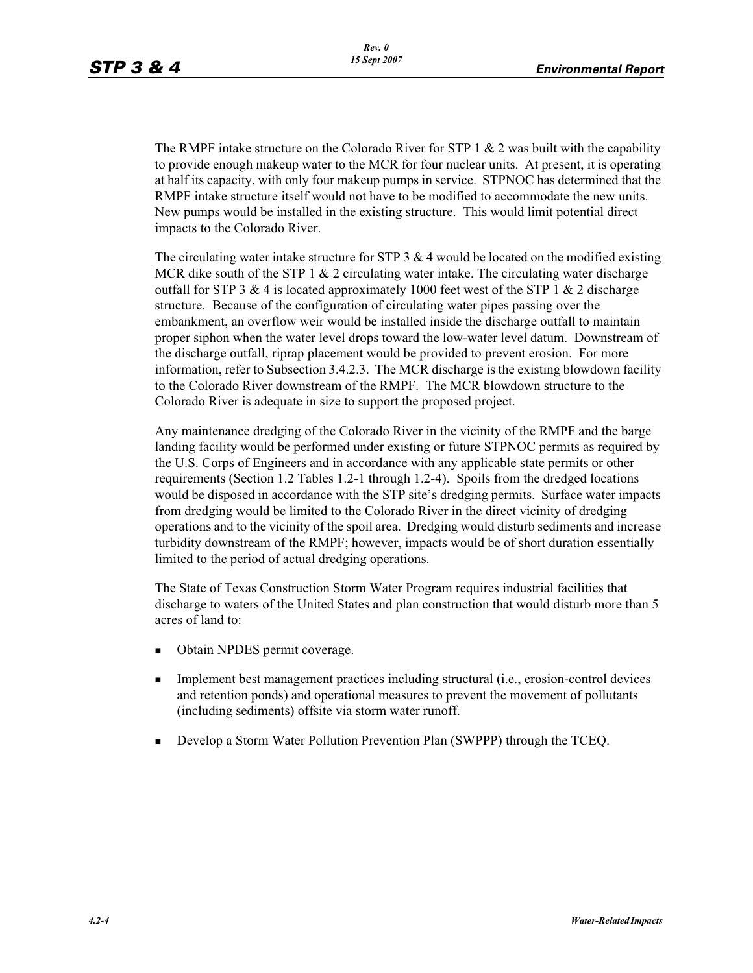The RMPF intake structure on the Colorado River for STP 1  $& 2$  was built with the capability to provide enough makeup water to the MCR for four nuclear units. At present, it is operating at half its capacity, with only four makeup pumps in service. STPNOC has determined that the RMPF intake structure itself would not have to be modified to accommodate the new units. New pumps would be installed in the existing structure. This would limit potential direct impacts to the Colorado River.

The circulating water intake structure for STP  $3 \& 4$  would be located on the modified existing MCR dike south of the STP 1  $& 2$  circulating water intake. The circulating water discharge outfall for STP 3 & 4 is located approximately 1000 feet west of the STP 1 & 2 discharge structure. Because of the configuration of circulating water pipes passing over the embankment, an overflow weir would be installed inside the discharge outfall to maintain proper siphon when the water level drops toward the low-water level datum. Downstream of the discharge outfall, riprap placement would be provided to prevent erosion. For more information, refer to Subsection 3.4.2.3. The MCR discharge is the existing blowdown facility to the Colorado River downstream of the RMPF. The MCR blowdown structure to the Colorado River is adequate in size to support the proposed project.

Any maintenance dredging of the Colorado River in the vicinity of the RMPF and the barge landing facility would be performed under existing or future STPNOC permits as required by the U.S. Corps of Engineers and in accordance with any applicable state permits or other requirements (Section 1.2 Tables 1.2-1 through 1.2-4). Spoils from the dredged locations would be disposed in accordance with the STP site's dredging permits. Surface water impacts from dredging would be limited to the Colorado River in the direct vicinity of dredging operations and to the vicinity of the spoil area. Dredging would disturb sediments and increase turbidity downstream of the RMPF; however, impacts would be of short duration essentially limited to the period of actual dredging operations.

The State of Texas Construction Storm Water Program requires industrial facilities that discharge to waters of the United States and plan construction that would disturb more than 5 acres of land to:

- -Obtain NPDES permit coverage.
- - Implement best management practices including structural (i.e., erosion-control devices and retention ponds) and operational measures to prevent the movement of pollutants (including sediments) offsite via storm water runoff.
- **Develop a Storm Water Pollution Prevention Plan (SWPPP) through the TCEQ.**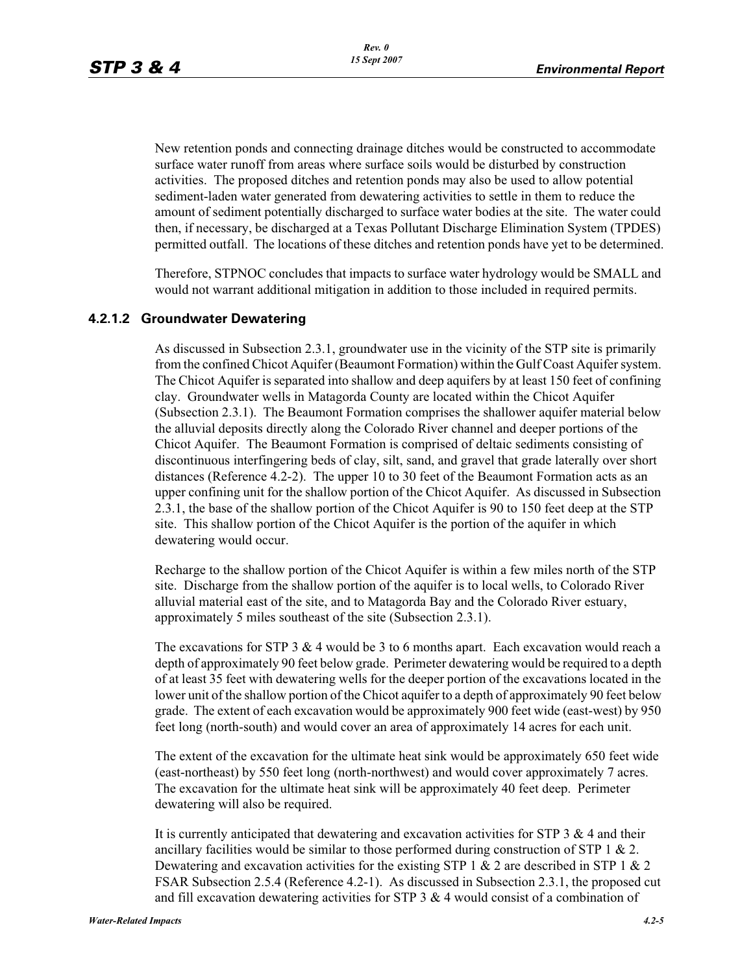New retention ponds and connecting drainage ditches would be constructed to accommodate surface water runoff from areas where surface soils would be disturbed by construction activities. The proposed ditches and retention ponds may also be used to allow potential sediment-laden water generated from dewatering activities to settle in them to reduce the amount of sediment potentially discharged to surface water bodies at the site. The water could then, if necessary, be discharged at a Texas Pollutant Discharge Elimination System (TPDES) permitted outfall. The locations of these ditches and retention ponds have yet to be determined.

Therefore, STPNOC concludes that impacts to surface water hydrology would be SMALL and would not warrant additional mitigation in addition to those included in required permits.

#### **4.2.1.2 Groundwater Dewatering**

As discussed in Subsection 2.3.1, groundwater use in the vicinity of the STP site is primarily from the confined Chicot Aquifer (Beaumont Formation) within the Gulf Coast Aquifer system. The Chicot Aquifer is separated into shallow and deep aquifers by at least 150 feet of confining clay. Groundwater wells in Matagorda County are located within the Chicot Aquifer (Subsection 2.3.1). The Beaumont Formation comprises the shallower aquifer material below the alluvial deposits directly along the Colorado River channel and deeper portions of the Chicot Aquifer. The Beaumont Formation is comprised of deltaic sediments consisting of discontinuous interfingering beds of clay, silt, sand, and gravel that grade laterally over short distances (Reference 4.2-2). The upper 10 to 30 feet of the Beaumont Formation acts as an upper confining unit for the shallow portion of the Chicot Aquifer. As discussed in Subsection 2.3.1, the base of the shallow portion of the Chicot Aquifer is 90 to 150 feet deep at the STP site. This shallow portion of the Chicot Aquifer is the portion of the aquifer in which dewatering would occur.

Recharge to the shallow portion of the Chicot Aquifer is within a few miles north of the STP site. Discharge from the shallow portion of the aquifer is to local wells, to Colorado River alluvial material east of the site, and to Matagorda Bay and the Colorado River estuary, approximately 5 miles southeast of the site (Subsection 2.3.1).

The excavations for STP 3 & 4 would be 3 to 6 months apart. Each excavation would reach a depth of approximately 90 feet below grade. Perimeter dewatering would be required to a depth of at least 35 feet with dewatering wells for the deeper portion of the excavations located in the lower unit of the shallow portion of the Chicot aquifer to a depth of approximately 90 feet below grade. The extent of each excavation would be approximately 900 feet wide (east-west) by 950 feet long (north-south) and would cover an area of approximately 14 acres for each unit.

The extent of the excavation for the ultimate heat sink would be approximately 650 feet wide (east-northeast) by 550 feet long (north-northwest) and would cover approximately 7 acres. The excavation for the ultimate heat sink will be approximately 40 feet deep. Perimeter dewatering will also be required.

It is currently anticipated that dewatering and excavation activities for  $STP 3 \& 4$  and their ancillary facilities would be similar to those performed during construction of STP  $1 \& 2$ . Dewatering and excavation activities for the existing STP 1  $\&$  2 are described in STP 1  $\&$  2 FSAR Subsection 2.5.4 (Reference 4.2-1). As discussed in Subsection 2.3.1, the proposed cut and fill excavation dewatering activities for STP  $3 \& 4$  would consist of a combination of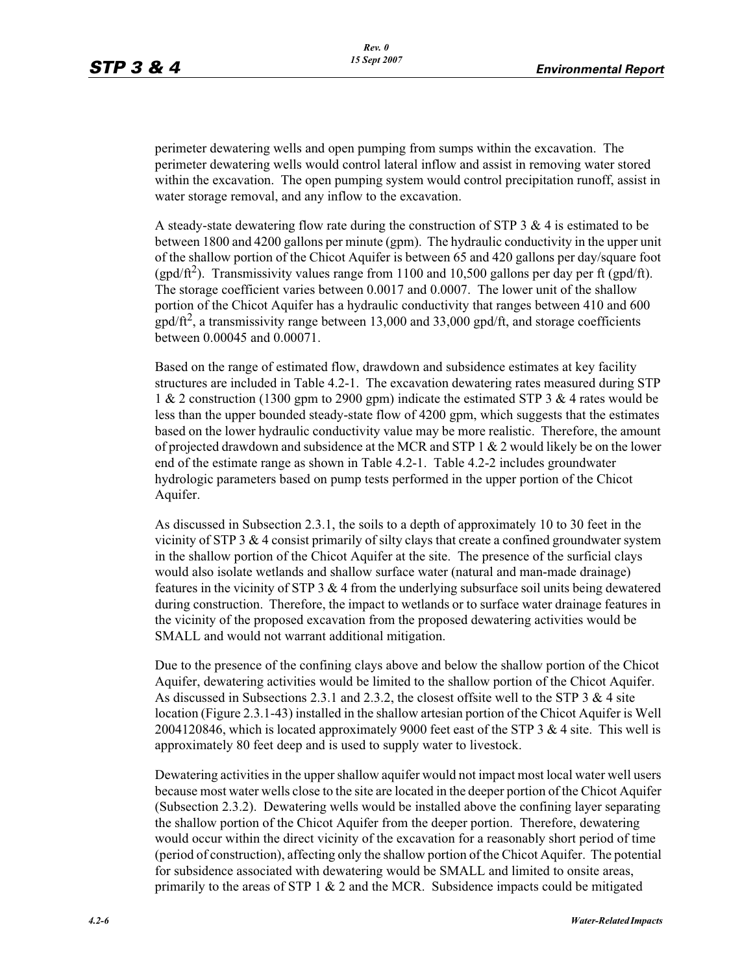perimeter dewatering wells and open pumping from sumps within the excavation. The perimeter dewatering wells would control lateral inflow and assist in removing water stored within the excavation. The open pumping system would control precipitation runoff, assist in water storage removal, and any inflow to the excavation.

A steady-state dewatering flow rate during the construction of STP 3 & 4 is estimated to be between 1800 and 4200 gallons per minute (gpm). The hydraulic conductivity in the upper unit of the shallow portion of the Chicot Aquifer is between 65 and 420 gallons per day/square foot (gpd/ft<sup>2</sup>). Transmissivity values range from 1100 and 10,500 gallons per day per ft (gpd/ft). The storage coefficient varies between 0.0017 and 0.0007. The lower unit of the shallow portion of the Chicot Aquifer has a hydraulic conductivity that ranges between 410 and 600  $gpd/ft^2$ , a transmissivity range between 13,000 and 33,000 gpd/ft, and storage coefficients between 0.00045 and 0.00071.

Based on the range of estimated flow, drawdown and subsidence estimates at key facility structures are included in Table 4.2-1. The excavation dewatering rates measured during STP 1 & 2 construction (1300 gpm to 2900 gpm) indicate the estimated STP 3 & 4 rates would be less than the upper bounded steady-state flow of 4200 gpm, which suggests that the estimates based on the lower hydraulic conductivity value may be more realistic. Therefore, the amount of projected drawdown and subsidence at the MCR and STP 1 & 2 would likely be on the lower end of the estimate range as shown in Table 4.2-1. Table 4.2-2 includes groundwater hydrologic parameters based on pump tests performed in the upper portion of the Chicot Aquifer.

As discussed in Subsection 2.3.1, the soils to a depth of approximately 10 to 30 feet in the vicinity of STP  $3 \& 4$  consist primarily of silty clays that create a confined groundwater system in the shallow portion of the Chicot Aquifer at the site. The presence of the surficial clays would also isolate wetlands and shallow surface water (natural and man-made drainage) features in the vicinity of STP 3 & 4 from the underlying subsurface soil units being dewatered during construction. Therefore, the impact to wetlands or to surface water drainage features in the vicinity of the proposed excavation from the proposed dewatering activities would be SMALL and would not warrant additional mitigation.

Due to the presence of the confining clays above and below the shallow portion of the Chicot Aquifer, dewatering activities would be limited to the shallow portion of the Chicot Aquifer. As discussed in Subsections 2.3.1 and 2.3.2, the closest offsite well to the STP  $3 \& 4$  site location (Figure 2.3.1-43) installed in the shallow artesian portion of the Chicot Aquifer is Well 2004120846, which is located approximately 9000 feet east of the STP 3  $\&$  4 site. This well is approximately 80 feet deep and is used to supply water to livestock.

Dewatering activities in the upper shallow aquifer would not impact most local water well users because most water wells close to the site are located in the deeper portion of the Chicot Aquifer (Subsection 2.3.2). Dewatering wells would be installed above the confining layer separating the shallow portion of the Chicot Aquifer from the deeper portion. Therefore, dewatering would occur within the direct vicinity of the excavation for a reasonably short period of time (period of construction), affecting only the shallow portion of the Chicot Aquifer. The potential for subsidence associated with dewatering would be SMALL and limited to onsite areas, primarily to the areas of STP  $1 \& 2$  and the MCR. Subsidence impacts could be mitigated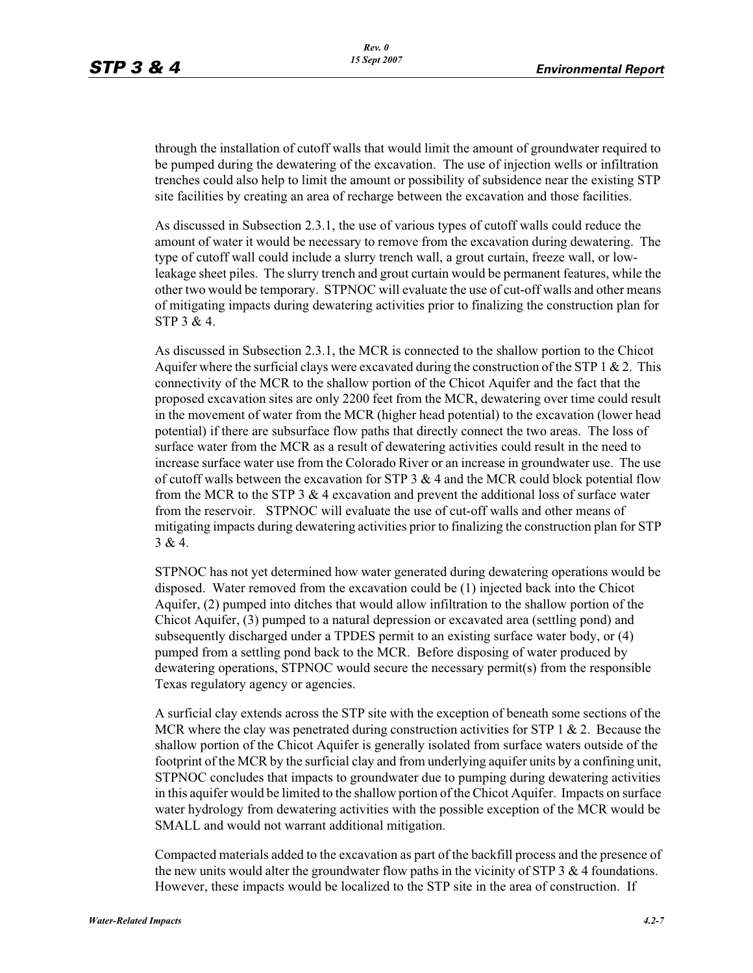through the installation of cutoff walls that would limit the amount of groundwater required to be pumped during the dewatering of the excavation. The use of injection wells or infiltration trenches could also help to limit the amount or possibility of subsidence near the existing STP site facilities by creating an area of recharge between the excavation and those facilities.

As discussed in Subsection 2.3.1, the use of various types of cutoff walls could reduce the amount of water it would be necessary to remove from the excavation during dewatering. The type of cutoff wall could include a slurry trench wall, a grout curtain, freeze wall, or lowleakage sheet piles. The slurry trench and grout curtain would be permanent features, while the other two would be temporary. STPNOC will evaluate the use of cut-off walls and other means of mitigating impacts during dewatering activities prior to finalizing the construction plan for STP 3 & 4.

As discussed in Subsection 2.3.1, the MCR is connected to the shallow portion to the Chicot Aquifer where the surficial clays were excavated during the construction of the STP 1  $\&$  2. This connectivity of the MCR to the shallow portion of the Chicot Aquifer and the fact that the proposed excavation sites are only 2200 feet from the MCR, dewatering over time could result in the movement of water from the MCR (higher head potential) to the excavation (lower head potential) if there are subsurface flow paths that directly connect the two areas. The loss of surface water from the MCR as a result of dewatering activities could result in the need to increase surface water use from the Colorado River or an increase in groundwater use. The use of cutoff walls between the excavation for STP 3  $\&$  4 and the MCR could block potential flow from the MCR to the STP 3  $\&$  4 excavation and prevent the additional loss of surface water from the reservoir. STPNOC will evaluate the use of cut-off walls and other means of mitigating impacts during dewatering activities prior to finalizing the construction plan for STP  $3 & 4.$ 

STPNOC has not yet determined how water generated during dewatering operations would be disposed. Water removed from the excavation could be (1) injected back into the Chicot Aquifer, (2) pumped into ditches that would allow infiltration to the shallow portion of the Chicot Aquifer, (3) pumped to a natural depression or excavated area (settling pond) and subsequently discharged under a TPDES permit to an existing surface water body, or (4) pumped from a settling pond back to the MCR. Before disposing of water produced by dewatering operations, STPNOC would secure the necessary permit(s) from the responsible Texas regulatory agency or agencies.

A surficial clay extends across the STP site with the exception of beneath some sections of the MCR where the clay was penetrated during construction activities for STP 1  $\&$  2. Because the shallow portion of the Chicot Aquifer is generally isolated from surface waters outside of the footprint of the MCR by the surficial clay and from underlying aquifer units by a confining unit, STPNOC concludes that impacts to groundwater due to pumping during dewatering activities in this aquifer would be limited to the shallow portion of the Chicot Aquifer. Impacts on surface water hydrology from dewatering activities with the possible exception of the MCR would be SMALL and would not warrant additional mitigation.

Compacted materials added to the excavation as part of the backfill process and the presence of the new units would alter the groundwater flow paths in the vicinity of STP  $3 \& 4$  foundations. However, these impacts would be localized to the STP site in the area of construction. If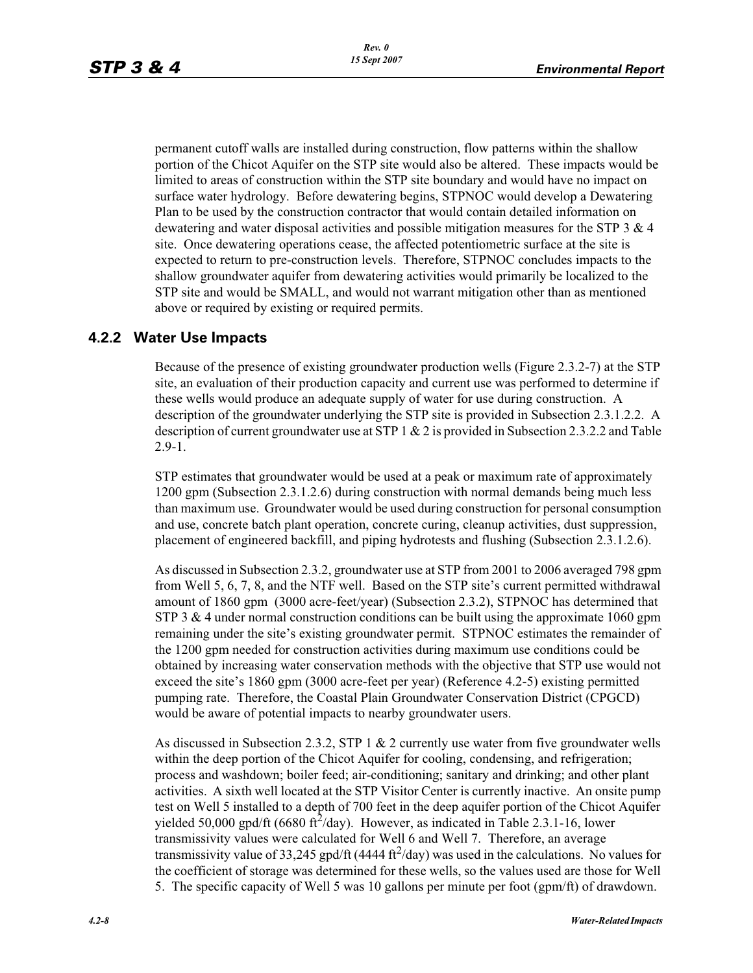permanent cutoff walls are installed during construction, flow patterns within the shallow portion of the Chicot Aquifer on the STP site would also be altered. These impacts would be limited to areas of construction within the STP site boundary and would have no impact on surface water hydrology. Before dewatering begins, STPNOC would develop a Dewatering Plan to be used by the construction contractor that would contain detailed information on dewatering and water disposal activities and possible mitigation measures for the STP 3 & 4 site. Once dewatering operations cease, the affected potentiometric surface at the site is expected to return to pre-construction levels. Therefore, STPNOC concludes impacts to the shallow groundwater aquifer from dewatering activities would primarily be localized to the STP site and would be SMALL, and would not warrant mitigation other than as mentioned above or required by existing or required permits.

## **4.2.2 Water Use Impacts**

Because of the presence of existing groundwater production wells (Figure 2.3.2-7) at the STP site, an evaluation of their production capacity and current use was performed to determine if these wells would produce an adequate supply of water for use during construction. A description of the groundwater underlying the STP site is provided in Subsection 2.3.1.2.2. A description of current groundwater use at STP 1 & 2 is provided in Subsection 2.3.2.2 and Table 2.9-1.

STP estimates that groundwater would be used at a peak or maximum rate of approximately 1200 gpm (Subsection 2.3.1.2.6) during construction with normal demands being much less than maximum use. Groundwater would be used during construction for personal consumption and use, concrete batch plant operation, concrete curing, cleanup activities, dust suppression, placement of engineered backfill, and piping hydrotests and flushing (Subsection 2.3.1.2.6).

As discussed in Subsection 2.3.2, groundwater use at STP from 2001 to 2006 averaged 798 gpm from Well 5, 6, 7, 8, and the NTF well. Based on the STP site's current permitted withdrawal amount of 1860 gpm (3000 acre-feet/year) (Subsection 2.3.2), STPNOC has determined that STP 3  $\&$  4 under normal construction conditions can be built using the approximate 1060 gpm remaining under the site's existing groundwater permit. STPNOC estimates the remainder of the 1200 gpm needed for construction activities during maximum use conditions could be obtained by increasing water conservation methods with the objective that STP use would not exceed the site's 1860 gpm (3000 acre-feet per year) (Reference 4.2-5) existing permitted pumping rate. Therefore, the Coastal Plain Groundwater Conservation District (CPGCD) would be aware of potential impacts to nearby groundwater users.

As discussed in Subsection 2.3.2, STP 1 & 2 currently use water from five groundwater wells within the deep portion of the Chicot Aquifer for cooling, condensing, and refrigeration; process and washdown; boiler feed; air-conditioning; sanitary and drinking; and other plant activities. A sixth well located at the STP Visitor Center is currently inactive. An onsite pump test on Well 5 installed to a depth of 700 feet in the deep aquifer portion of the Chicot Aquifer yielded 50,000 gpd/ft (6680 ft<sup>2</sup>/day). However, as indicated in Table 2.3.1-16, lower transmissivity values were calculated for Well 6 and Well 7. Therefore, an average transmissivity value of 33,245 gpd/ft (4444 ft $^2$ /day) was used in the calculations. No values for the coefficient of storage was determined for these wells, so the values used are those for Well 5. The specific capacity of Well 5 was 10 gallons per minute per foot (gpm/ft) of drawdown.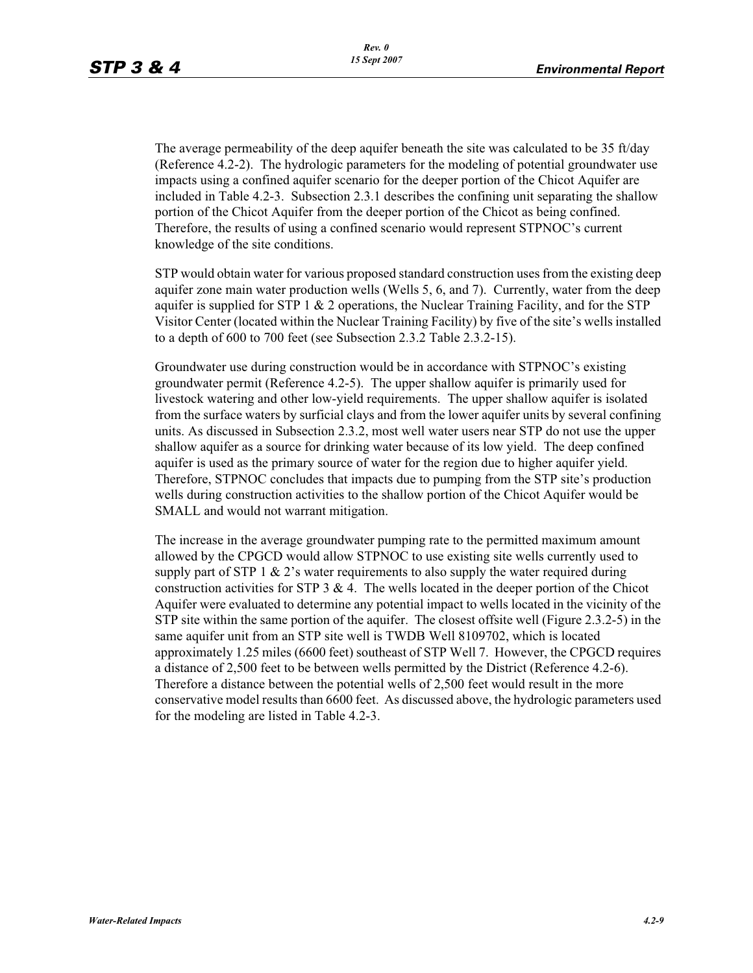The average permeability of the deep aquifer beneath the site was calculated to be 35 ft/day (Reference 4.2-2). The hydrologic parameters for the modeling of potential groundwater use impacts using a confined aquifer scenario for the deeper portion of the Chicot Aquifer are included in Table 4.2-3. Subsection 2.3.1 describes the confining unit separating the shallow portion of the Chicot Aquifer from the deeper portion of the Chicot as being confined. Therefore, the results of using a confined scenario would represent STPNOC's current knowledge of the site conditions.

STP would obtain water for various proposed standard construction uses from the existing deep aquifer zone main water production wells (Wells 5, 6, and 7). Currently, water from the deep aquifer is supplied for STP  $1 \& 2$  operations, the Nuclear Training Facility, and for the STP Visitor Center (located within the Nuclear Training Facility) by five of the site's wells installed to a depth of 600 to 700 feet (see Subsection 2.3.2 Table 2.3.2-15).

Groundwater use during construction would be in accordance with STPNOC's existing groundwater permit (Reference 4.2-5). The upper shallow aquifer is primarily used for livestock watering and other low-yield requirements. The upper shallow aquifer is isolated from the surface waters by surficial clays and from the lower aquifer units by several confining units. As discussed in Subsection 2.3.2, most well water users near STP do not use the upper shallow aquifer as a source for drinking water because of its low yield. The deep confined aquifer is used as the primary source of water for the region due to higher aquifer yield. Therefore, STPNOC concludes that impacts due to pumping from the STP site's production wells during construction activities to the shallow portion of the Chicot Aquifer would be SMALL and would not warrant mitigation.

The increase in the average groundwater pumping rate to the permitted maximum amount allowed by the CPGCD would allow STPNOC to use existing site wells currently used to supply part of STP 1  $\&$  2's water requirements to also supply the water required during construction activities for STP 3  $& 4$ . The wells located in the deeper portion of the Chicot Aquifer were evaluated to determine any potential impact to wells located in the vicinity of the STP site within the same portion of the aquifer. The closest offsite well (Figure 2.3.2-5) in the same aquifer unit from an STP site well is TWDB Well 8109702, which is located approximately 1.25 miles (6600 feet) southeast of STP Well 7. However, the CPGCD requires a distance of 2,500 feet to be between wells permitted by the District (Reference 4.2-6). Therefore a distance between the potential wells of 2,500 feet would result in the more conservative model results than 6600 feet. As discussed above, the hydrologic parameters used for the modeling are listed in Table 4.2-3.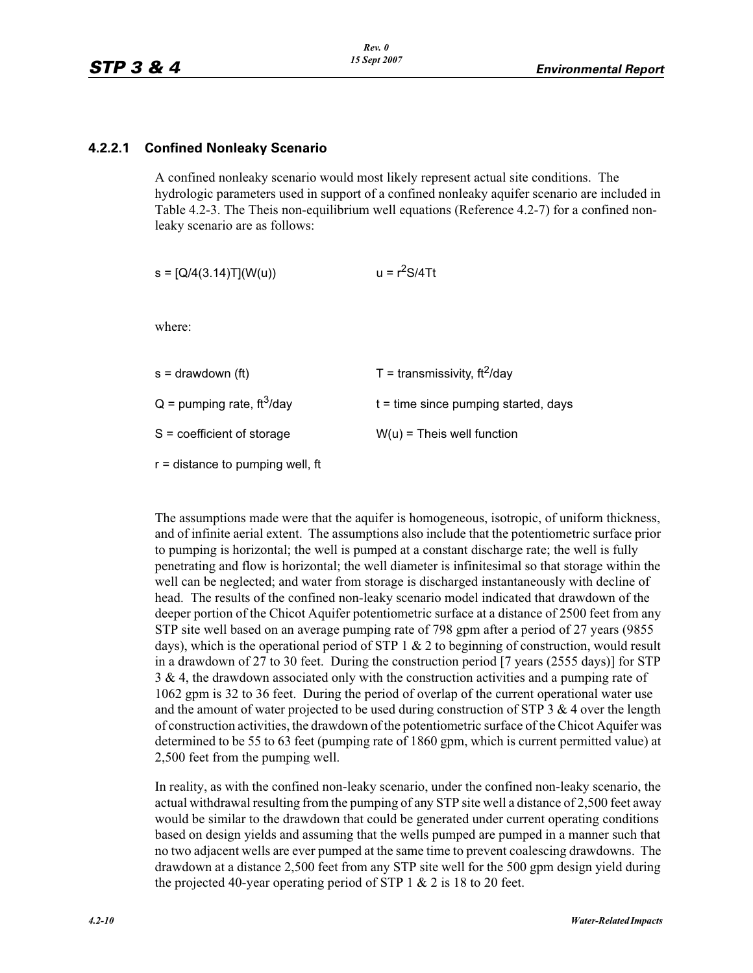## **4.2.2.1 Confined Nonleaky Scenario**

A confined nonleaky scenario would most likely represent actual site conditions. The hydrologic parameters used in support of a confined nonleaky aquifer scenario are included in Table 4.2-3. The Theis non-equilibrium well equations (Reference 4.2-7) for a confined nonleaky scenario are as follows:

 $s = [Q/4(3.14)T](W(u))$   $u = r<sup>2</sup>S/4Tt$ 

where:

| T = transmissivity, $ft^2$ /day        |
|----------------------------------------|
| $t =$ time since pumping started, days |
| $W(u)$ = Theis well function           |
|                                        |

r = distance to pumping well, ft

The assumptions made were that the aquifer is homogeneous, isotropic, of uniform thickness, and of infinite aerial extent. The assumptions also include that the potentiometric surface prior to pumping is horizontal; the well is pumped at a constant discharge rate; the well is fully penetrating and flow is horizontal; the well diameter is infinitesimal so that storage within the well can be neglected; and water from storage is discharged instantaneously with decline of head. The results of the confined non-leaky scenario model indicated that drawdown of the deeper portion of the Chicot Aquifer potentiometric surface at a distance of 2500 feet from any STP site well based on an average pumping rate of 798 gpm after a period of 27 years (9855 days), which is the operational period of STP  $1 \& 2$  to beginning of construction, would result in a drawdown of 27 to 30 feet. During the construction period [7 years (2555 days)] for STP 3 & 4, the drawdown associated only with the construction activities and a pumping rate of 1062 gpm is 32 to 36 feet. During the period of overlap of the current operational water use and the amount of water projected to be used during construction of STP  $3 \& 4$  over the length of construction activities, the drawdown of the potentiometric surface of the Chicot Aquifer was determined to be 55 to 63 feet (pumping rate of 1860 gpm, which is current permitted value) at 2,500 feet from the pumping well.

In reality, as with the confined non-leaky scenario, under the confined non-leaky scenario, the actual withdrawal resulting from the pumping of any STP site well a distance of 2,500 feet away would be similar to the drawdown that could be generated under current operating conditions based on design yields and assuming that the wells pumped are pumped in a manner such that no two adjacent wells are ever pumped at the same time to prevent coalescing drawdowns. The drawdown at a distance 2,500 feet from any STP site well for the 500 gpm design yield during the projected 40-year operating period of STP  $1 \& 2$  is 18 to 20 feet.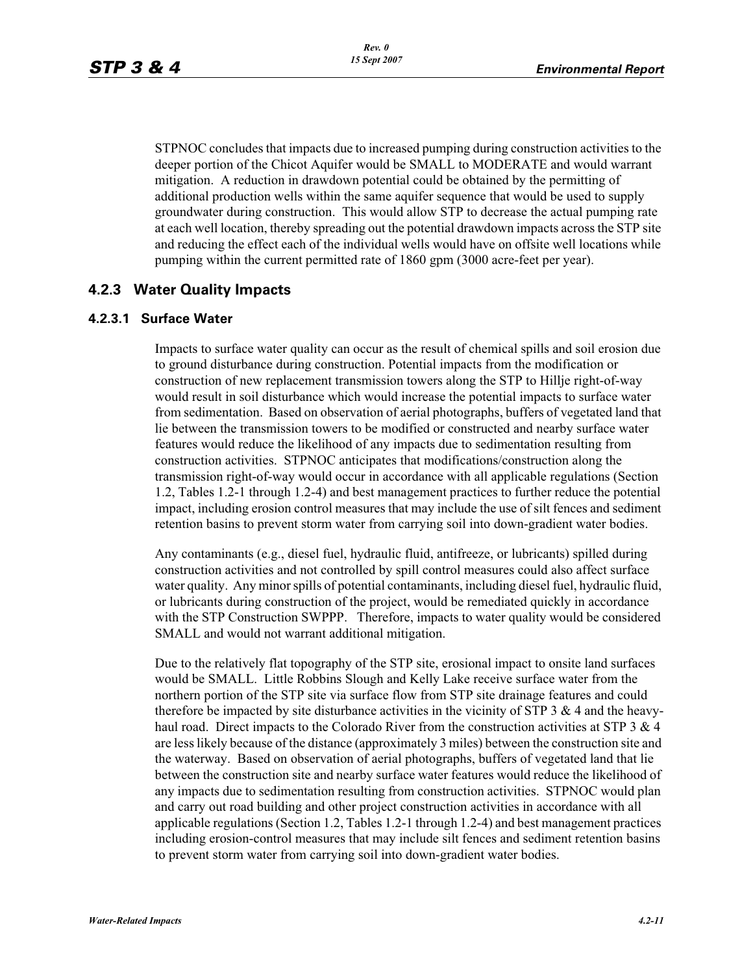STPNOC concludes that impacts due to increased pumping during construction activities to the deeper portion of the Chicot Aquifer would be SMALL to MODERATE and would warrant mitigation. A reduction in drawdown potential could be obtained by the permitting of additional production wells within the same aquifer sequence that would be used to supply groundwater during construction. This would allow STP to decrease the actual pumping rate at each well location, thereby spreading out the potential drawdown impacts across the STP site and reducing the effect each of the individual wells would have on offsite well locations while pumping within the current permitted rate of 1860 gpm (3000 acre-feet per year).

# **4.2.3 Water Quality Impacts**

#### **4.2.3.1 Surface Water**

Impacts to surface water quality can occur as the result of chemical spills and soil erosion due to ground disturbance during construction. Potential impacts from the modification or construction of new replacement transmission towers along the STP to Hillje right-of-way would result in soil disturbance which would increase the potential impacts to surface water from sedimentation. Based on observation of aerial photographs, buffers of vegetated land that lie between the transmission towers to be modified or constructed and nearby surface water features would reduce the likelihood of any impacts due to sedimentation resulting from construction activities. STPNOC anticipates that modifications/construction along the transmission right-of-way would occur in accordance with all applicable regulations (Section 1.2, Tables 1.2-1 through 1.2-4) and best management practices to further reduce the potential impact, including erosion control measures that may include the use of silt fences and sediment retention basins to prevent storm water from carrying soil into down-gradient water bodies.

Any contaminants (e.g., diesel fuel, hydraulic fluid, antifreeze, or lubricants) spilled during construction activities and not controlled by spill control measures could also affect surface water quality. Any minor spills of potential contaminants, including diesel fuel, hydraulic fluid, or lubricants during construction of the project, would be remediated quickly in accordance with the STP Construction SWPPP. Therefore, impacts to water quality would be considered SMALL and would not warrant additional mitigation.

Due to the relatively flat topography of the STP site, erosional impact to onsite land surfaces would be SMALL. Little Robbins Slough and Kelly Lake receive surface water from the northern portion of the STP site via surface flow from STP site drainage features and could therefore be impacted by site disturbance activities in the vicinity of STP 3  $\&$  4 and the heavyhaul road. Direct impacts to the Colorado River from the construction activities at STP 3 & 4 are less likely because of the distance (approximately 3 miles) between the construction site and the waterway. Based on observation of aerial photographs, buffers of vegetated land that lie between the construction site and nearby surface water features would reduce the likelihood of any impacts due to sedimentation resulting from construction activities. STPNOC would plan and carry out road building and other project construction activities in accordance with all applicable regulations (Section 1.2, Tables 1.2-1 through 1.2-4) and best management practices including erosion-control measures that may include silt fences and sediment retention basins to prevent storm water from carrying soil into down-gradient water bodies.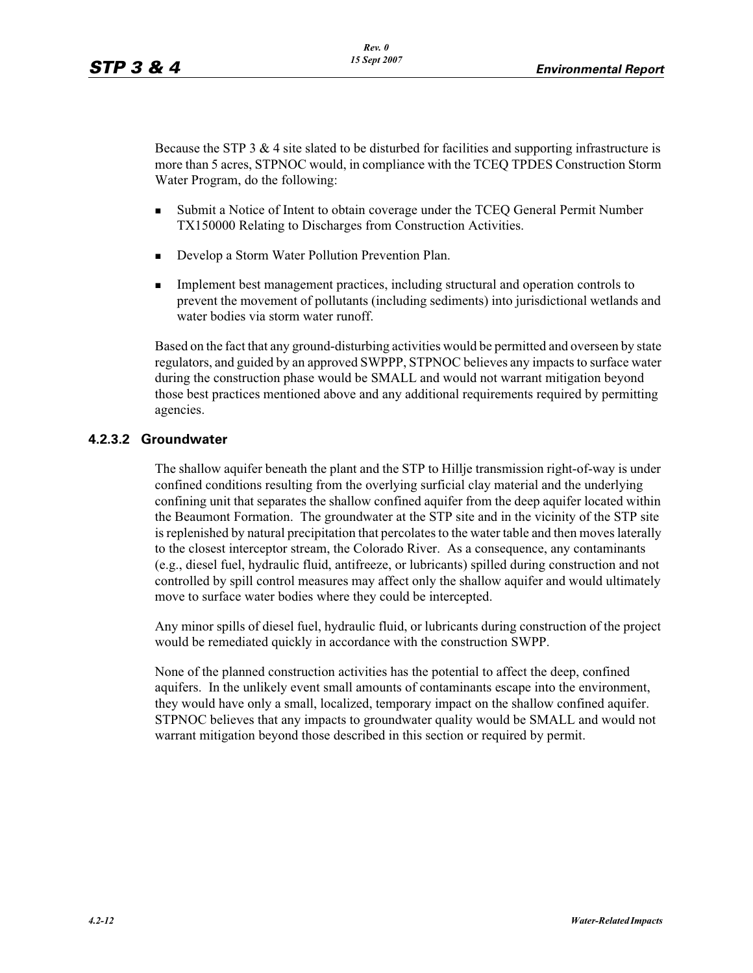Because the STP  $3 \& 4$  site slated to be disturbed for facilities and supporting infrastructure is more than 5 acres, STPNOC would, in compliance with the TCEQ TPDES Construction Storm Water Program, do the following:

- - Submit a Notice of Intent to obtain coverage under the TCEQ General Permit Number TX150000 Relating to Discharges from Construction Activities.
- -Develop a Storm Water Pollution Prevention Plan.
- - Implement best management practices, including structural and operation controls to prevent the movement of pollutants (including sediments) into jurisdictional wetlands and water bodies via storm water runoff.

Based on the fact that any ground-disturbing activities would be permitted and overseen by state regulators, and guided by an approved SWPPP, STPNOC believes any impacts to surface water during the construction phase would be SMALL and would not warrant mitigation beyond those best practices mentioned above and any additional requirements required by permitting agencies.

# **4.2.3.2 Groundwater**

The shallow aquifer beneath the plant and the STP to Hillje transmission right-of-way is under confined conditions resulting from the overlying surficial clay material and the underlying confining unit that separates the shallow confined aquifer from the deep aquifer located within the Beaumont Formation. The groundwater at the STP site and in the vicinity of the STP site is replenished by natural precipitation that percolates to the water table and then moves laterally to the closest interceptor stream, the Colorado River. As a consequence, any contaminants (e.g., diesel fuel, hydraulic fluid, antifreeze, or lubricants) spilled during construction and not controlled by spill control measures may affect only the shallow aquifer and would ultimately move to surface water bodies where they could be intercepted.

Any minor spills of diesel fuel, hydraulic fluid, or lubricants during construction of the project would be remediated quickly in accordance with the construction SWPP.

None of the planned construction activities has the potential to affect the deep, confined aquifers. In the unlikely event small amounts of contaminants escape into the environment, they would have only a small, localized, temporary impact on the shallow confined aquifer. STPNOC believes that any impacts to groundwater quality would be SMALL and would not warrant mitigation beyond those described in this section or required by permit.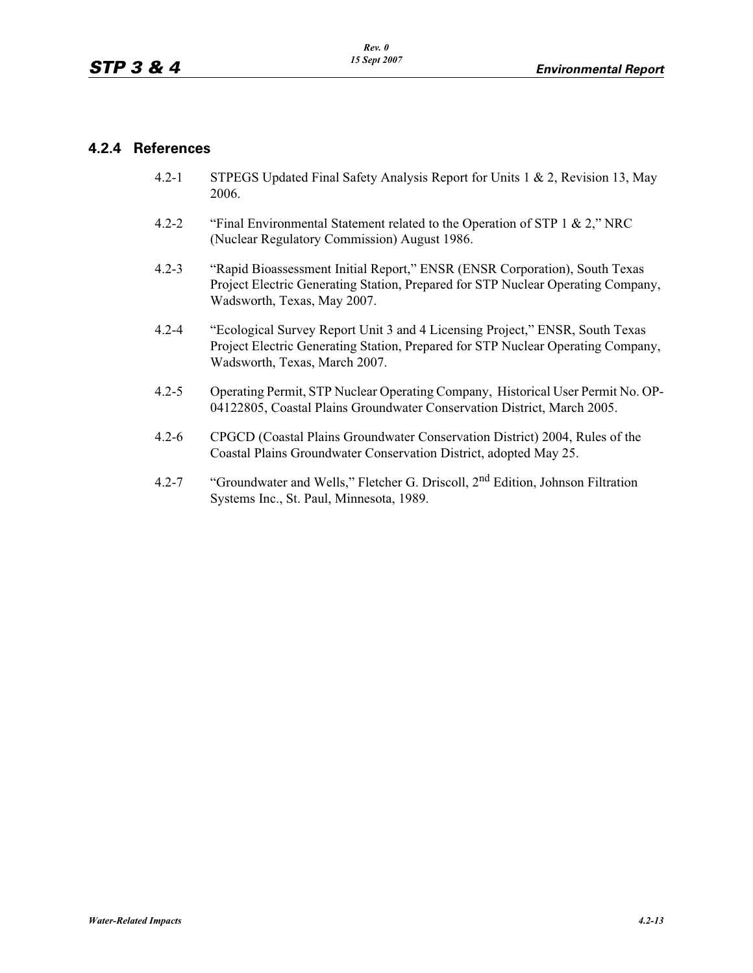# **4.2.4 References**

- 4.2-1 STPEGS Updated Final Safety Analysis Report for Units 1 & 2, Revision 13, May 2006.
- 4.2-2 "Final Environmental Statement related to the Operation of STP 1 & 2," NRC (Nuclear Regulatory Commission) August 1986.
- 4.2-3 "Rapid Bioassessment Initial Report," ENSR (ENSR Corporation), South Texas Project Electric Generating Station, Prepared for STP Nuclear Operating Company, Wadsworth, Texas, May 2007.
- 4.2-4 "Ecological Survey Report Unit 3 and 4 Licensing Project," ENSR, South Texas Project Electric Generating Station, Prepared for STP Nuclear Operating Company, Wadsworth, Texas, March 2007.
- 4.2-5 Operating Permit, STP Nuclear Operating Company, Historical User Permit No. OP-04122805, Coastal Plains Groundwater Conservation District, March 2005.
- 4.2-6 CPGCD (Coastal Plains Groundwater Conservation District) 2004, Rules of the Coastal Plains Groundwater Conservation District, adopted May 25.
- 4.2-7 "Groundwater and Wells," Fletcher G. Driscoll, 2<sup>nd</sup> Edition, Johnson Filtration Systems Inc., St. Paul, Minnesota, 1989.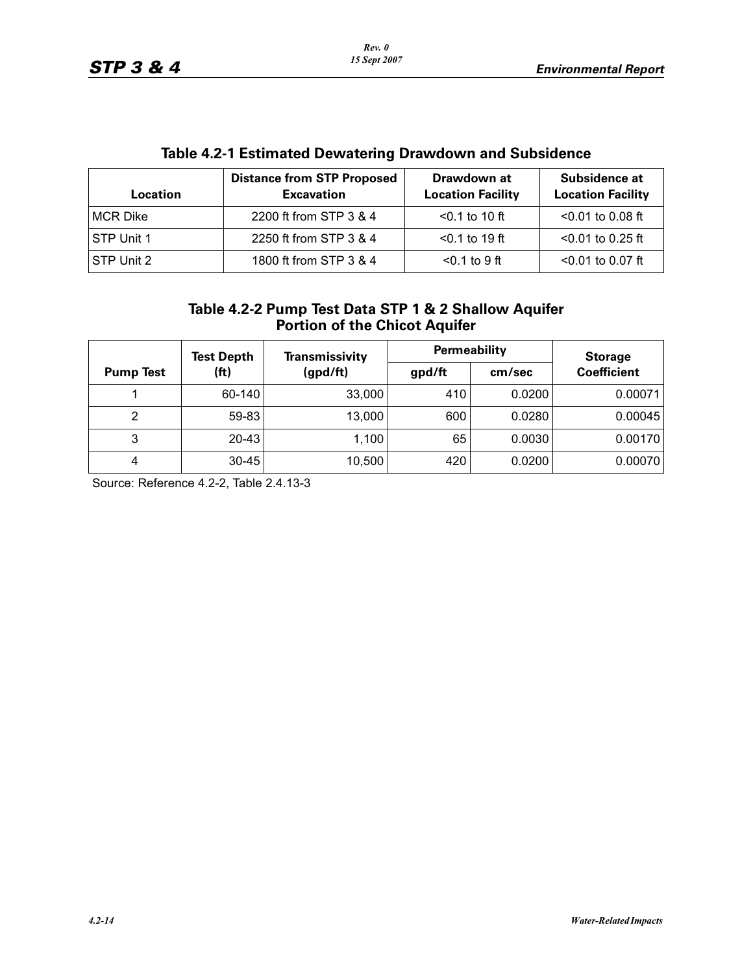| <b>Location</b>   | <b>Distance from STP Proposed</b><br><b>Excavation</b> | Drawdown at<br><b>Location Facility</b> | Subsidence at<br><b>Location Facility</b> |
|-------------------|--------------------------------------------------------|-----------------------------------------|-------------------------------------------|
| <b>MCR Dike</b>   | 2200 ft from STP 3 & 4                                 | $< 0.1$ to 10 ft                        | $< 0.01$ to 0.08 ft                       |
| <b>STP Unit 1</b> | 2250 ft from STP 3 & 4                                 | $< 0.1$ to 19 ft                        | $<$ 0.01 to 0.25 ft                       |
| STP Unit 2        | 1800 ft from STP 3 & 4                                 | $< 0.1$ to 9 ft                         | $< 0.01$ to 0.07 ft                       |

# **Table 4.2-1 Estimated Dewatering Drawdown and Subsidence**

| Table 4.2-2 Pump Test Data STP 1 & 2 Shallow Aquifer |
|------------------------------------------------------|
| <b>Portion of the Chicot Aquifer</b>                 |

|                  | <b>Test Depth</b> | <b>Transmissivity</b> | Permeability |        | <b>Storage</b>     |
|------------------|-------------------|-----------------------|--------------|--------|--------------------|
| <b>Pump Test</b> | (ft)              | (gpd/ft)              | gpd/ft       | cm/sec | <b>Coefficient</b> |
|                  | 60-140            | 33,000                | 410          | 0.0200 | 0.00071            |
| 2                | 59-83             | 13,000                | 600          | 0.0280 | 0.00045            |
| 3                | $20 - 43$         | 1,100                 | 65           | 0.0030 | 0.00170            |
| 4                | $30 - 45$         | 10,500                | 420          | 0.0200 | 0.00070            |

Source: Reference 4.2-2, Table 2.4.13-3